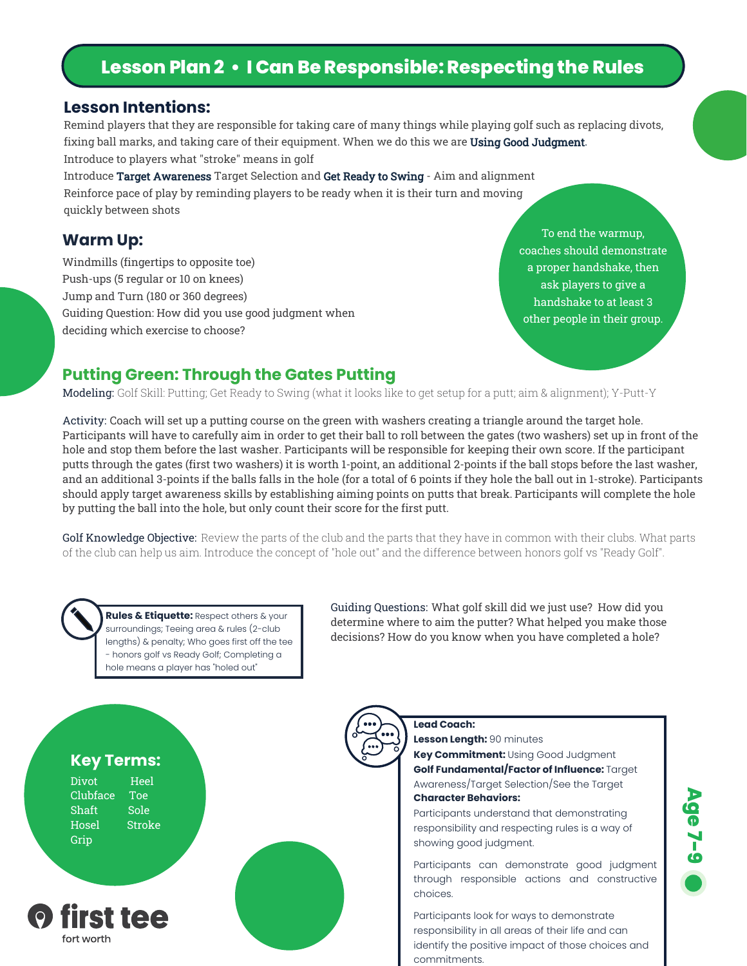## **Lesson Plan 2 • I Can Be Responsible: Respecting the Rules**

#### **Lesson Intentions:**

Remind players that they are responsible for taking care of many things while playing golf such as replacing divots, fixing ball marks, and taking care of their equipment. When we do this we are Using Good Judgment. Introduce to players what "stroke" means in golf

Introduce Target Awareness Target Selection and Get Ready to Swing - Aim and alignment Reinforce pace of play by reminding players to be ready when it is their turn and moving quickly between shots

#### **Warm Up:**

Windmills (fingertips to opposite toe) Push-ups (5 regular or 10 on knees) Jump and Turn (180 or 360 degrees) Guiding Question: How did you use good judgment when deciding which exercise to choose?

To end the warmup, coaches should demonstrate a proper handshake, then ask players to give a handshake to at least 3 other people in their group.

## **Putting Green: Through the Gates Putting**

Modeling: Golf Skill: Putting; Get Ready to Swing (what it looks like to get setup for a putt; aim & alignment); Y-Putt-Y

Activity: Coach will set up a putting course on the green with washers creating a triangle around the target hole. Participants will have to carefully aim in order to get their ball to roll between the gates (two washers) set up in front of the hole and stop them before the last washer. Participants will be responsible for keeping their own score. If the participant putts through the gates (first two washers) it is worth 1-point, an additional 2-points if the ball stops before the last washer, and an additional 3-points if the balls falls in the hole (for a total of 6 points if they hole the ball out in 1-stroke). Participants should apply target awareness skills by establishing aiming points on putts that break. Participants will complete the hole by putting the ball into the hole, but only count their score for the first putt.

Golf Knowledge Objective: Review the parts of the club and the parts that they have in common with their clubs. What parts of the club can help us aim. Introduce the concept of "hole out" and the difference between honors golf vs "Ready Golf".

**Rules & Etiquette:** Respect others & your surroundings; Teeing area & rules (2-club lengths) & penalty; Who goes first off the tee - honors golf vs Ready Golf; Completing a hole means a player has "holed out"

Guiding Questions: What golf skill did we just use? How did you determine where to aim the putter? What helped you make those decisions? How do you know when you have completed a hole?